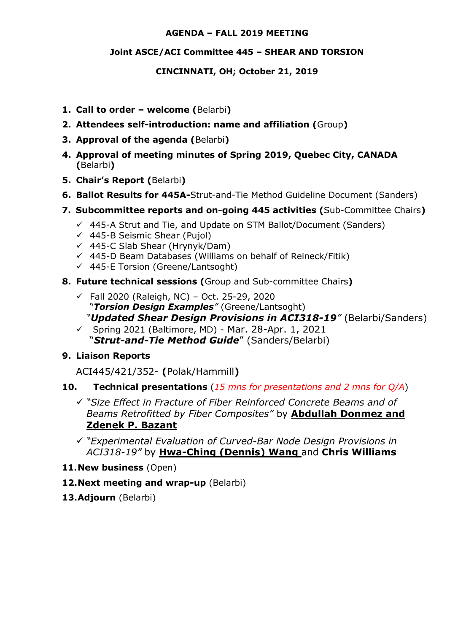#### **AGENDA – FALL 2019 MEETING**

#### **Joint ASCE/ACI Committee 445 – SHEAR AND TORSION**

#### **CINCINNATI, OH; October 21, 2019**

- **1. Call to order – welcome (**Belarbi**)**
- **2. Attendees self-introduction: name and affiliation (**Group**)**
- **3. Approval of the agenda (**Belarbi**)**
- **4. Approval of meeting minutes of Spring 2019, Quebec City, CANADA (**Belarbi**)**
- **5. Chair's Report (**Belarbi**)**
- **6. Ballot Results for 445A-**Strut-and-Tie Method Guideline Document (Sanders)
- **7. Subcommittee reports and on-going 445 activities (**Sub-Committee Chairs**)**
	- $\checkmark$  445-A Strut and Tie, and Update on STM Ballot/Document (Sanders)
	- $\checkmark$  445-B Seismic Shear (Pujol)
	- $\checkmark$  445-C Slab Shear (Hrynyk/Dam)
	- $\checkmark$  445-D Beam Databases (Williams on behalf of Reineck/Fitik)
	- $\checkmark$  445-E Torsion (Greene/Lantsoght)
- **8. Future technical sessions (**Group and Sub-committee Chairs**)** 
	- $\checkmark$  Fall 2020 (Raleigh, NC) Oct. 25-29, 2020 "*Torsion Design Examples"* (Greene/Lantsoght) *"Updated Shear Design Provisions in ACI318-19"* (Belarbi/Sanders)
	- $\checkmark$  Spring 2021 (Baltimore, MD) Mar. 28-Apr. 1, 2021 "*Strut-and-Tie Method Guide*" (Sanders/Belarbi)

#### **9. Liaison Reports**

ACI445/421/352- **(**Polak/Hammill**)**

### **10. Technical presentations** (*15 mns for presentations and 2 mns for Q/A*)

- *"Size Effect in Fracture of Fiber Reinforced Concrete Beams and of Beams Retrofitted by Fiber Composites"* by **Abdullah Donmez and Zdenek P. Bazant**
- *"Experimental Evaluation of Curved-Bar Node Design Provisions in ACI318-19"* by **Hwa-Ching (Dennis) Wang** and **Chris Williams**
- **11.New business** (Open)
- **12.Next meeting and wrap-up** (Belarbi)
- **13.Adjourn** (Belarbi)